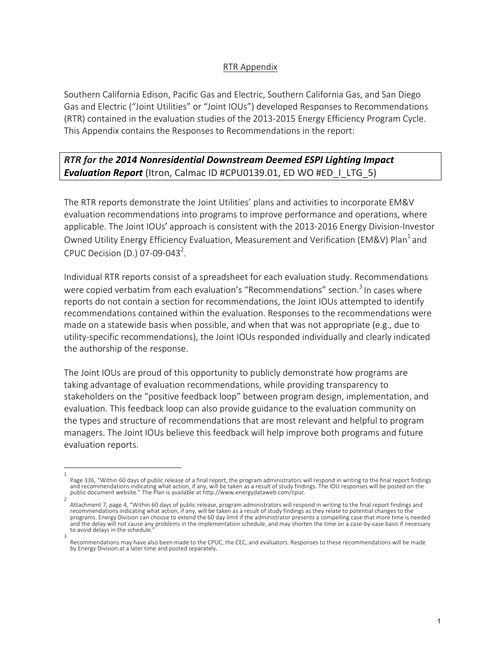## RTR Appendix

Southern California Edison, Pacific Gas and Electric, Southern California Gas, and San Diego Gas and Electric ("Joint Utilities" or "Joint IOUs") developed Responses to Recommendations (RTR) contained in the evaluation studies of the 2013-2015 Energy Efficiency Program Cycle. This Appendix contains the Responses to Recommendations in the report:

**RTR** for the 2014 Nonresidential Downstream Deemed ESPI Lighting Impact **Evaluation Report** (Itron, Calmac ID #CPU0139.01, ED WO #ED\_I\_LTG\_5)

The RTR reports demonstrate the Joint Utilities' plans and activities to incorporate EM&V evaluation recommendations into programs to improve performance and operations, where applicable. The Joint IOUs' approach is consistent with the 2013-2016 Energy Division-Investor Owned Utility Energy Efficiency Evaluation, Measurement and Verification (EM&V) Plan<sup>1</sup> and CPUC Decision (D.) 07-09-043<sup>2</sup>.

Individual RTR reports consist of a spreadsheet for each evaluation study. Recommendations were copied verbatim from each evaluation's "Recommendations" section.<sup>3</sup> In cases where reports do not contain a section for recommendations, the Joint IOUs attempted to identify recommendations contained within the evaluation. Responses to the recommendations were made on a statewide basis when possible, and when that was not appropriate  $(e.g.,$  due to utility-specific recommendations), the Joint IOUs responded individually and clearly indicated the authorship of the response.

The Joint IOUs are proud of this opportunity to publicly demonstrate how programs are taking advantage of evaluation recommendations, while providing transparency to stakeholders on the "positive feedback loop" between program design, implementation, and evaluation. This feedback loop can also provide guidance to the evaluation community on the types and structure of recommendations that are most relevant and helpful to program managers. The Joint IOUs believe this feedback will help improve both programs and future evaluation reports.

<sup>1</sup>  Page 336, "Within 60 days of public release of a final report, the program administrators will respond in writing to the final report findings and recommendations indicating what action, if any, will be taken as a result of study findings. The IOU responses will be posted on the public document website." The Plan is available at http://www.energydataweb.com/cpuc.

<sup>2</sup>  Attachment 7, page 4, "Within 60 days of public release, program administrators will respond in writing to the final report findings and recommendations indicating what action, if any, will be taken as a result of study findings as they relate to potential changes to the programs. Energy Division can choose to extend the 60 day limit if the administrator presents a compelling case that more time is needed and the delay will not cause any problems in the implementation schedule, and may shorten the time on a case-by-case basis if necessary to avoid delays in the schedule. 3 

Recommendations may have also been made to the CPUC, the CEC, and evaluators. Responses to these recommendations will be made by Energy Division at a later time and posted separately.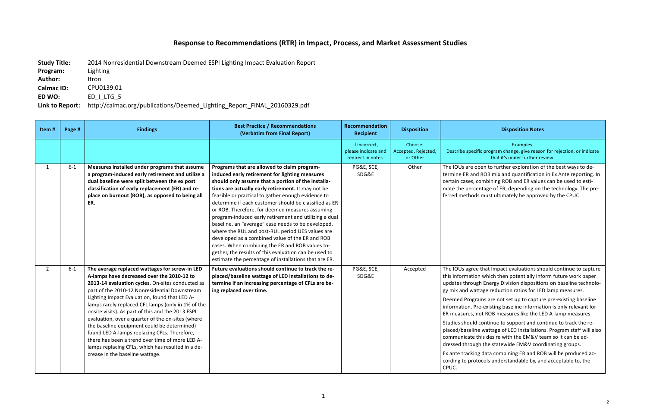## **Response to Recommendations (RTR) in Impact, Process, and Market Assessment Studies**

**Study Title:** 2014 Nonresidential Downstream Deemed ESPI Lighting Impact Evaluation Report

## **Disposition Notes**

| Program:          | Lighting                                                                 |
|-------------------|--------------------------------------------------------------------------|
| <b>Author:</b>    | Itron                                                                    |
| <b>Calmac ID:</b> | CPU0139.01                                                               |
| ED WO:            | ED   LTG 5                                                               |
| Link to Report:   | http://calmac.org/publications/Deemed_Lighting_Report_FINAL_20160329.pdf |

Examples: 

Ific program change, give reason for rejection, or indicate that it's under further review.

open to further exploration of the best ways to ded ROB mix and quantification in Ex Ante reporting. In combining ROB and ER values can be used to estientage of ER, depending on the technology. The pre-Is must ultimately be approved by the CPUC.

e that Impact evaluations should continue to capture on which then potentially inform future work paper gh Energy Division dispositions on baseline technolo-Ittage reduction ratios for LED lamp measures.

rams are not set up to capture pre-existing baseline re-existing baseline information is only relevant for not ROB measures like the LED A-lamp measures.

continue to support and continue to track the rene wattage of LED installations. Program staff will also this desire with the EM&V team so it can be adgh the statewide EM&V coordinating groups.

1g data combining ER and ROB will be produced actocols understandable by, and acceptable to, the

| Item#          | Page # | <b>Findings</b>                                                                                                                                                                                                                                                                                                                                                                                                                                                                                                                                                                                                                                              | <b>Best Practice / Recommendations</b><br>(Verbatim from Final Report)                                                                                                                                                                                                                                                                                                                                                                                                                                                                                                                                                                                                                                                                                                 | Recommendation<br><b>Recipient</b>                         | <b>Disposition</b>                         |                                                                                                                                                                                                                                                     |
|----------------|--------|--------------------------------------------------------------------------------------------------------------------------------------------------------------------------------------------------------------------------------------------------------------------------------------------------------------------------------------------------------------------------------------------------------------------------------------------------------------------------------------------------------------------------------------------------------------------------------------------------------------------------------------------------------------|------------------------------------------------------------------------------------------------------------------------------------------------------------------------------------------------------------------------------------------------------------------------------------------------------------------------------------------------------------------------------------------------------------------------------------------------------------------------------------------------------------------------------------------------------------------------------------------------------------------------------------------------------------------------------------------------------------------------------------------------------------------------|------------------------------------------------------------|--------------------------------------------|-----------------------------------------------------------------------------------------------------------------------------------------------------------------------------------------------------------------------------------------------------|
|                |        |                                                                                                                                                                                                                                                                                                                                                                                                                                                                                                                                                                                                                                                              |                                                                                                                                                                                                                                                                                                                                                                                                                                                                                                                                                                                                                                                                                                                                                                        | If incorrect,<br>please indicate and<br>redirect in notes. | Choose:<br>Accepted, Rejected,<br>or Other | Describe speci                                                                                                                                                                                                                                      |
| $\mathbf{1}$   | $6-1$  | Measures installed under programs that assume<br>a program-induced early retirement and utilize a<br>dual baseline were split between the ex post<br>classification of early replacement (ER) and re-<br>place on burnout (ROB), as opposed to being all<br>ER.                                                                                                                                                                                                                                                                                                                                                                                              | Programs that are allowed to claim program-<br>induced early retirement for lighting measures<br>should only assume that a portion of the installa-<br>tions are actually early retirement. It may not be<br>feasible or practical to gather enough evidence to<br>determine if each customer should be classified as ER<br>or ROB. Therefore, for deemed measures assuming<br>program-induced early retirement and utilizing a dual<br>baseline, an "average" case needs to be developed,<br>where the RUL and post-RUL period UES values are<br>developed as a combined value of the ER and ROB<br>cases. When combining the ER and ROB values to-<br>gether, the results of this evaluation can be used to<br>estimate the percentage of installations that are ER. | PG&E, SCE,<br>SDG&E                                        | Other                                      | The IOUs are o<br>termine ER and<br>certain cases,<br>mate the perce<br>ferred method                                                                                                                                                               |
| $\overline{2}$ | $6-1$  | The average replaced wattages for screw-in LED<br>A-lamps have decreased over the 2010-12 to<br>2013-14 evaluation cycles. On-sites conducted as<br>part of the 2010-12 Nonresidential Downstream<br>Lighting Impact Evaluation, found that LED A-<br>lamps rarely replaced CFL lamps (only in 1% of the<br>onsite visits). As part of this and the 2013 ESPI<br>evaluation, over a quarter of the on-sites (where<br>the baseline equipment could be determined)<br>found LED A-lamps replacing CFLs. Therefore,<br>there has been a trend over time of more LED A-<br>lamps replacing CFLs, which has resulted in a de-<br>crease in the baseline wattage. | Future evaluations should continue to track the re-<br>placed/baseline wattage of LED installations to de-<br>termine if an increasing percentage of CFLs are be-<br>ing replaced over time.                                                                                                                                                                                                                                                                                                                                                                                                                                                                                                                                                                           | PG&E, SCE,<br>SDG&E                                        | Accepted                                   | The IOUs agree<br>this informatio<br>updates throug<br>gy mix and wa<br><b>Deemed Progr</b><br>information. P<br>ER measures, r<br>Studies should<br>placed/baselin<br>communicate<br>dressed throug<br>Ex ante trackin<br>cording to prot<br>CPUC. |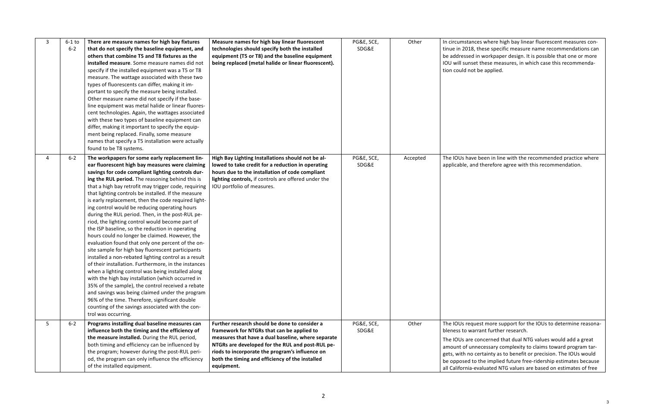ces where high bay linear fluorescent measures con-, these specific measure name recommendations can in workpaper design. It is possible that one or more et these measures, in which case this recommenda $t$  be applied.

e been in line with the recommended practice where d therefore agree with this recommendation.

uest more support for the IOUs to determine reasonarrant further research.

concerned that dual NTG values would add a great necessary complexity to claims toward program tarcertainty as to benefit or precision. The IOUs would the implied future free-ridership estimates because evaluated NTG values are based on estimates of free

| 3 | $6-1$ to<br>$6 - 2$ | There are measure names for high bay fixtures<br>that do not specify the baseline equipment, and<br>others that combine T5 and T8 fixtures as the<br>installed measure. Some measure names did not<br>specify if the installed equipment was a T5 or T8<br>measure. The wattage associated with these two<br>types of fluorescents can differ, making it im-<br>portant to specify the measure being installed.<br>Other measure name did not specify if the base-<br>line equipment was metal halide or linear fluores-<br>cent technologies. Again, the wattages associated<br>with these two types of baseline equipment can<br>differ, making it important to specify the equip-<br>ment being replaced. Finally, some measure<br>names that specify a T5 installation were actually<br>found to be T8 systems.                                                                                                                                                                                                                                                                                                                                                                                                    | Measure names for high bay linear fluorescent<br>technologies should specify both the installed<br>equipment (T5 or T8) and the baseline equipment<br>being replaced (metal halide or linear fluorescent).                                                                                                                | PG&E, SCE,<br>SDG&E | Other    | In circumstand<br>tinue in 2018,<br>be addressed i<br>IOU will sunse<br>tion could not                                     |
|---|---------------------|------------------------------------------------------------------------------------------------------------------------------------------------------------------------------------------------------------------------------------------------------------------------------------------------------------------------------------------------------------------------------------------------------------------------------------------------------------------------------------------------------------------------------------------------------------------------------------------------------------------------------------------------------------------------------------------------------------------------------------------------------------------------------------------------------------------------------------------------------------------------------------------------------------------------------------------------------------------------------------------------------------------------------------------------------------------------------------------------------------------------------------------------------------------------------------------------------------------------|---------------------------------------------------------------------------------------------------------------------------------------------------------------------------------------------------------------------------------------------------------------------------------------------------------------------------|---------------------|----------|----------------------------------------------------------------------------------------------------------------------------|
| 4 | $6 - 2$             | The workpapers for some early replacement lin-<br>ear fluorescent high bay measures were claiming<br>savings for code compliant lighting controls dur-<br>ing the RUL period. The reasoning behind this is<br>that a high bay retrofit may trigger code, requiring<br>that lighting controls be installed. If the measure<br>is early replacement, then the code required light-<br>ing control would be reducing operating hours<br>during the RUL period. Then, in the post-RUL pe-<br>riod, the lighting control would become part of<br>the ISP baseline, so the reduction in operating<br>hours could no longer be claimed. However, the<br>evaluation found that only one percent of the on-<br>site sample for high bay fluorescent participants<br>installed a non-rebated lighting control as a result<br>of their installation. Furthermore, in the instances<br>when a lighting control was being installed along<br>with the high bay installation (which occurred in<br>35% of the sample), the control received a rebate<br>and savings was being claimed under the program<br>96% of the time. Therefore, significant double<br>counting of the savings associated with the con-<br>trol was occurring. | High Bay Lighting Installations should not be al-<br>lowed to take credit for a reduction in operating<br>hours due to the installation of code compliant<br>lighting controls, if controls are offered under the<br>IOU portfolio of measures.                                                                           | PG&E, SCE,<br>SDG&E | Accepted | The IOUs have<br>applicable, and                                                                                           |
| 5 | $6 - 2$             | Programs installing dual baseline measures can<br>influence both the timing and the efficiency of<br>the measure installed. During the RUL period,<br>both timing and efficiency can be influenced by<br>the program; however during the post-RUL peri-<br>od, the program can only influence the efficiency<br>of the installed equipment.                                                                                                                                                                                                                                                                                                                                                                                                                                                                                                                                                                                                                                                                                                                                                                                                                                                                            | Further research should be done to consider a<br>framework for NTGRs that can be applied to<br>measures that have a dual baseline, where separate<br>NTGRs are developed for the RUL and post-RUL pe-<br>riods to incorporate the program's influence on<br>both the timing and efficiency of the installed<br>equipment. | PG&E, SCE,<br>SDG&E | Other    | The IOUs requ<br>bleness to war<br>The IOUs are o<br>amount of unr<br>gets, with no c<br>be opposed to<br>all California-e |